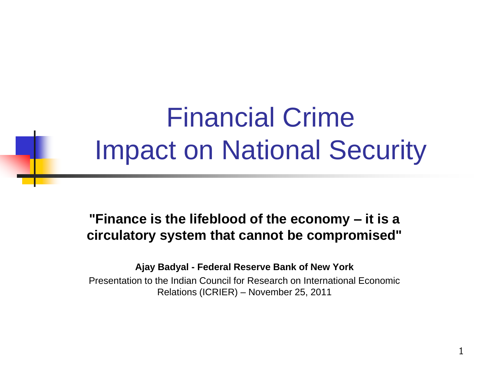# Financial Crime Impact on National Security

#### **"Finance is the lifeblood of the economy – it is a circulatory system that cannot be compromised"**

**Ajay Badyal - Federal Reserve Bank of New York**

Presentation to the Indian Council for Research on International Economic Relations (ICRIER) – November 25, 2011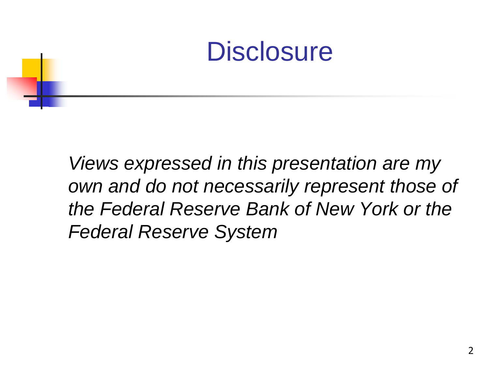### **Disclosure**

*Views expressed in this presentation are my own and do not necessarily represent those of the Federal Reserve Bank of New York or the Federal Reserve System*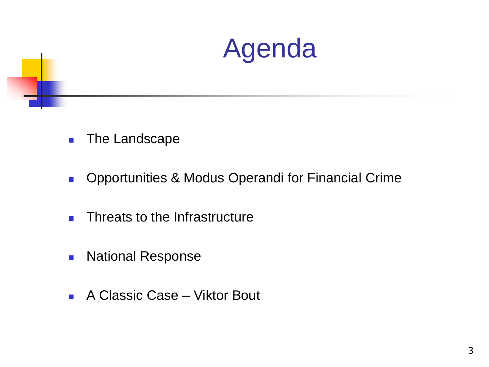

- **The Landscape**
- **Deportunities & Modus Operandi for Financial Crime**
- **Threats to the Infrastructure**
- **National Response**
- A Classic Case Viktor Bout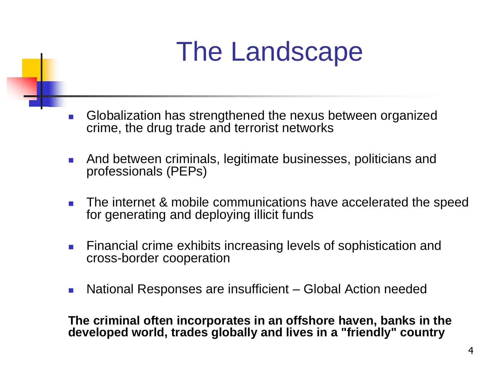# The Landscape

- Globalization has strengthened the nexus between organized crime, the drug trade and terrorist networks
- **And between criminals, legitimate businesses, politicians and** professionals (PEPs)
- **The internet & mobile communications have accelerated the speed** for generating and deploying illicit funds
- **Financial crime exhibits increasing levels of sophistication and** cross-border cooperation
- National Responses are insufficient Global Action needed

**The criminal often incorporates in an offshore haven, banks in the developed world, trades globally and lives in a "friendly" country**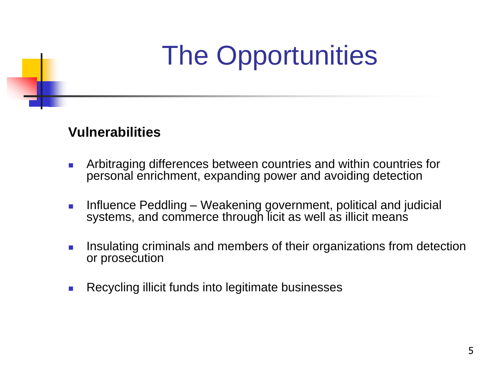# The Opportunities

#### **Vulnerabilities**

- **Arbitraging differences between countries and within countries for** personal enrichment, expanding power and avoiding detection
- **Influence Peddling Weakening government, political and judicial** systems, and commerce through licit as well as illicit means
- **I.** Insulating criminals and members of their organizations from detection or prosecution
- **Recycling illicit funds into legitimate businesses**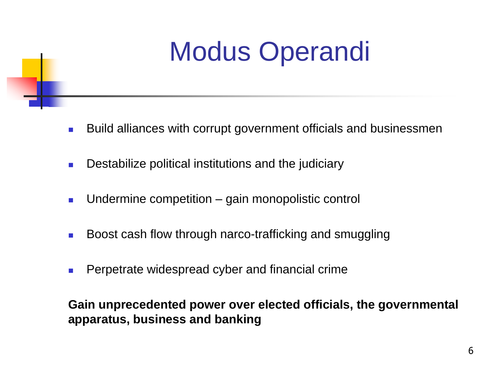# Modus Operandi

- **Build alliances with corrupt government officials and businessmen**
- **Destabilize political institutions and the judiciary**
- **Undermine competition** gain monopolistic control
- Boost cash flow through narco-trafficking and smuggling
- Perpetrate widespread cyber and financial crime

**Gain unprecedented power over elected officials, the governmental apparatus, business and banking**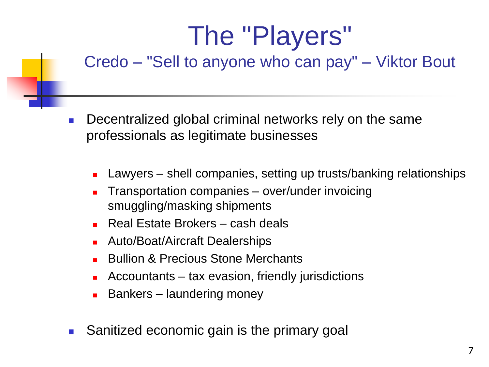# The "Players"

#### Credo – "Sell to anyone who can pay" – Viktor Bout

- Decentralized global criminal networks rely on the same professionals as legitimate businesses
	- Lawyers shell companies, setting up trusts/banking relationships
	- Transportation companies over/under invoicing smuggling/masking shipments
	- Real Estate Brokers cash deals
	- Auto/Boat/Aircraft Dealerships
	- Bullion & Precious Stone Merchants
	- Accountants tax evasion, friendly jurisdictions
	- Bankers laundering money
- Sanitized economic gain is the primary goal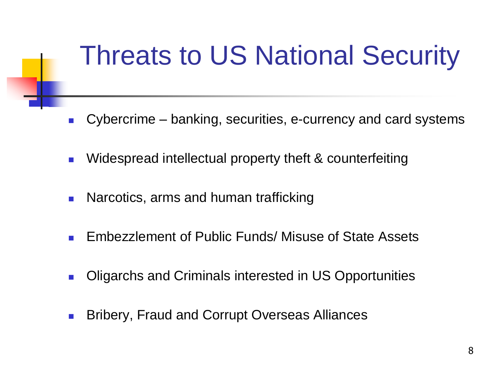# Threats to US National Security

- Cybercrime banking, securities, e-currency and card systems
- **Number 1** Widespread intellectual property theft & counterfeiting
- **Narcotics, arms and human trafficking**
- **Embezzlement of Public Funds/ Misuse of State Assets**
- **Digarchs and Criminals interested in US Opportunities**
- Bribery, Fraud and Corrupt Overseas Alliances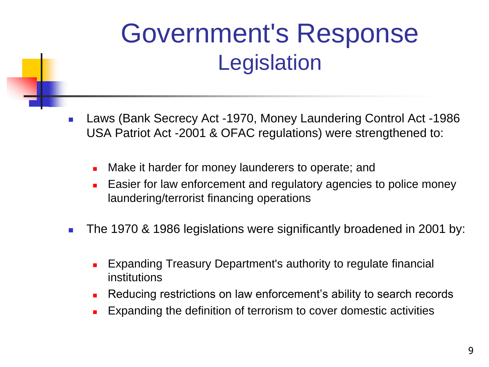## Government's Response **Legislation**

- Laws (Bank Secrecy Act -1970, Money Laundering Control Act -1986 USA Patriot Act -2001 & OFAC regulations) were strengthened to:
	- **Nake it harder for money launderers to operate; and**
	- **Easier for law enforcement and regulatory agencies to police money** laundering/terrorist financing operations
- The 1970 & 1986 legislations were significantly broadened in 2001 by:
	- Expanding Treasury Department's authority to regulate financial institutions
	- **Reducing restrictions on law enforcement's ability to search records**
	- Expanding the definition of terrorism to cover domestic activities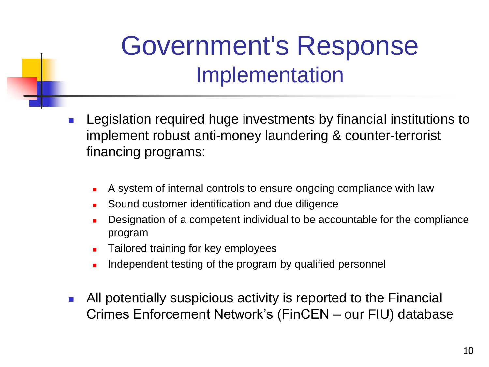## Government's Response Implementation

- **Legislation required huge investments by financial institutions to** implement robust anti-money laundering & counter-terrorist financing programs:
	- A system of internal controls to ensure ongoing compliance with law
	- Sound customer identification and due diligence
	- Designation of a competent individual to be accountable for the compliance program
	- Tailored training for key employees
	- Independent testing of the program by qualified personnel
- All potentially suspicious activity is reported to the Financial Crimes Enforcement Network's (FinCEN – our FIU) database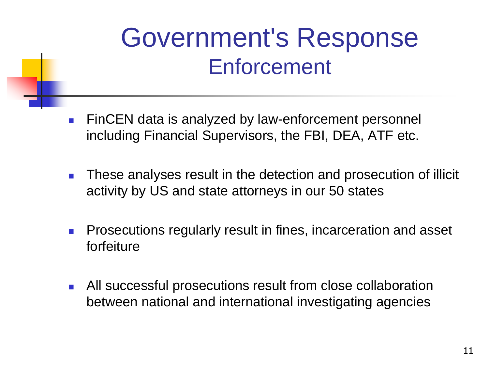## Government's Response **Enforcement**

- **FinCEN** data is analyzed by law-enforcement personnel including Financial Supervisors, the FBI, DEA, ATF etc.
- **These analyses result in the detection and prosecution of illicit** activity by US and state attorneys in our 50 states
- **Prosecutions regularly result in fines, incarceration and asset** forfeiture
- All successful prosecutions result from close collaboration between national and international investigating agencies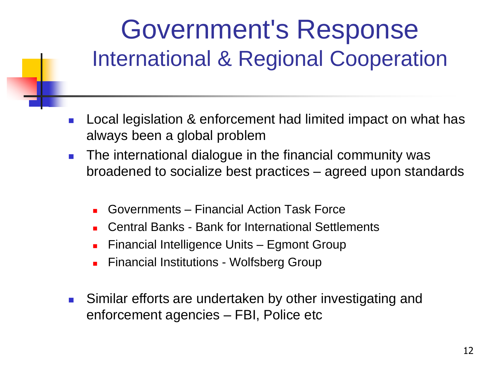## Government's Response International & Regional Cooperation

- **Local legislation & enforcement had limited impact on what has** always been a global problem
- **The international dialogue in the financial community was** broadened to socialize best practices – agreed upon standards
	- Governments Financial Action Task Force
	- Central Banks Bank for International Settlements
	- Financial Intelligence Units Egmont Group
	- Financial Institutions Wolfsberg Group
- **Similar efforts are undertaken by other investigating and** enforcement agencies – FBI, Police etc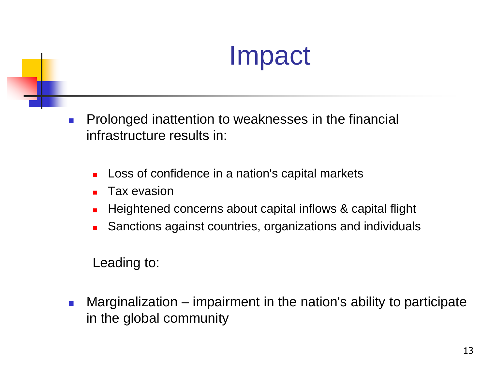# Impact

- **Prolonged inattention to weaknesses in the financial** infrastructure results in:
	- Loss of confidence in a nation's capital markets
	- Tax evasion
	- **Heightened concerns about capital inflows & capital flight**
	- Sanctions against countries, organizations and individuals

Leading to:

**Marginalization** – impairment in the nation's ability to participate in the global community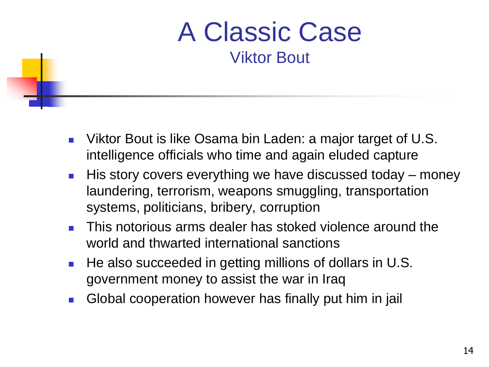#### A Classic Case Viktor Bout

- Viktor Bout is like Osama bin Laden: a major target of U.S. intelligence officials who time and again eluded capture
- $\blacksquare$  His story covers everything we have discussed today money laundering, terrorism, weapons smuggling, transportation systems, politicians, bribery, corruption
- **This notorious arms dealer has stoked violence around the** world and thwarted international sanctions
- He also succeeded in getting millions of dollars in U.S. government money to assist the war in Iraq
- Global cooperation however has finally put him in jail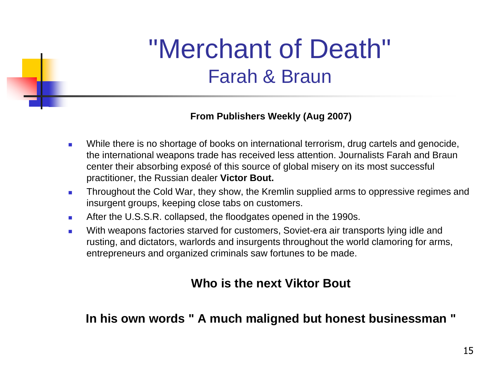#### "Merchant of Death" Farah & Braun

#### **From Publishers Weekly (Aug 2007)**

- **Nille there is no shortage of books on international terrorism, drug cartels and genocide,** the international weapons trade has received less attention. Journalists Farah and Braun center their absorbing exposé of this source of global misery on its most successful practitioner, the Russian dealer **Victor Bout.**
- **Throughout the Cold War, they show, the Kremlin supplied arms to oppressive regimes and** insurgent groups, keeping close tabs on customers.
- After the U.S.S.R. collapsed, the floodgates opened in the 1990s.
- With weapons factories starved for customers, Soviet-era air transports lying idle and rusting, and dictators, warlords and insurgents throughout the world clamoring for arms, entrepreneurs and organized criminals saw fortunes to be made.

#### **Who is the next Viktor Bout**

**In his own words " A much maligned but honest businessman "**